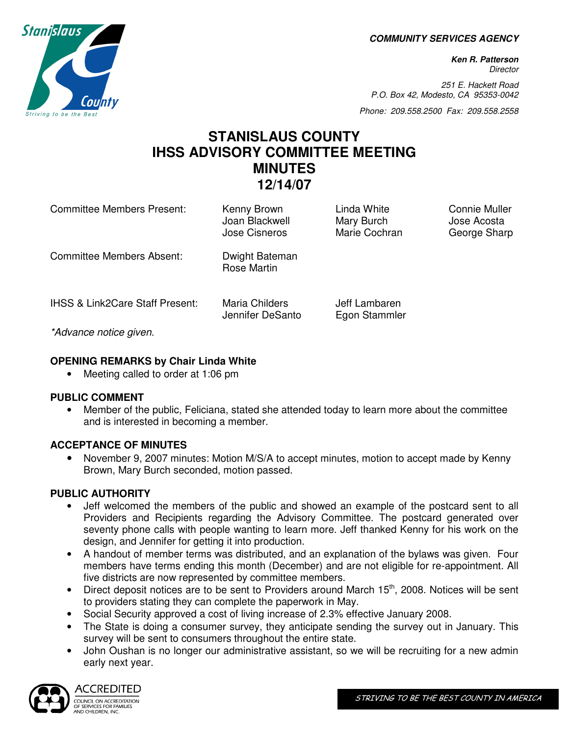**COMMUNITY SERVICES AGENCY** 

**Ken R. Patterson Director** 

251 E. Hackett Road P.O. Box 42, Modesto, CA 95353-0042

Phone: 209.558.2500 Fax: 209.558.2558

# **STANISLAUS COUNTY IHSS ADVISORY COMMITTEE MEETING MINUTES 12/14/07**

| <b>Committee Members Present:</b>          | Kenny Brown<br>Joan Blackwell<br>Jose Cisneros | Linda White<br>Mary Burch<br>Marie Cochran | Connie Muller<br>Jose Acosta<br>George Sharp |
|--------------------------------------------|------------------------------------------------|--------------------------------------------|----------------------------------------------|
| <b>Committee Members Absent:</b>           | Dwight Bateman<br>Rose Martin                  |                                            |                                              |
| <b>IHSS &amp; Link2Care Staff Present:</b> | Maria Childers<br>Jennifer DeSanto             | Jeff Lambaren<br>Egon Stammler             |                                              |
| *Advance notice given.                     |                                                |                                            |                                              |

#### **OPENING REMARKS by Chair Linda White**

• Meeting called to order at 1:06 pm

#### **PUBLIC COMMENT**

• Member of the public, Feliciana, stated she attended today to learn more about the committee and is interested in becoming a member.

## **ACCEPTANCE OF MINUTES**

• November 9, 2007 minutes: Motion M/S/A to accept minutes, motion to accept made by Kenny Brown, Mary Burch seconded, motion passed.

## **PUBLIC AUTHORITY**

- Jeff welcomed the members of the public and showed an example of the postcard sent to all Providers and Recipients regarding the Advisory Committee. The postcard generated over seventy phone calls with people wanting to learn more. Jeff thanked Kenny for his work on the design, and Jennifer for getting it into production.
- A handout of member terms was distributed, and an explanation of the bylaws was given. Four members have terms ending this month (December) and are not eligible for re-appointment. All five districts are now represented by committee members.
- Direct deposit notices are to be sent to Providers around March  $15<sup>th</sup>$ , 2008. Notices will be sent to providers stating they can complete the paperwork in May.
- Social Security approved a cost of living increase of 2.3% effective January 2008.
- The State is doing a consumer survey, they anticipate sending the survey out in January. This survey will be sent to consumers throughout the entire state.
- John Oushan is no longer our administrative assistant, so we will be recruiting for a new admin early next year.